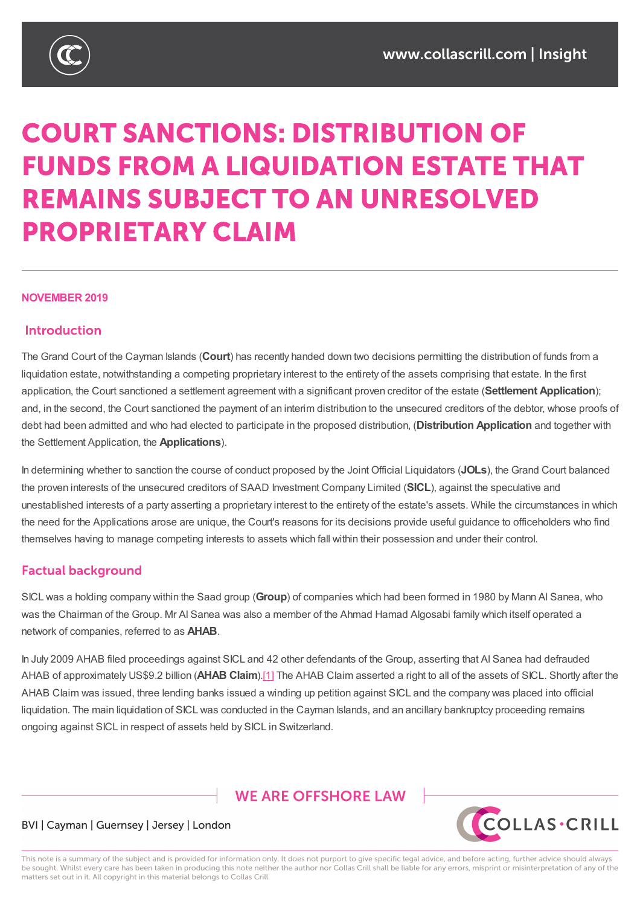

# **COURT SANCTIONS: DISTRIBUTION OF FUNDS FROM A LIQUIDATION ESTATE THAT REMAINS SUBJECT TO AN UNRESOLVED PROPRIETARY CLAIM**

#### **NOVEMBER 2019**

#### **Introduction**

The Grand Court of the Cayman Islands (**Court**) has recently handed down two decisions permitting the distribution of funds from a liquidation estate, notwithstanding a competing proprietary interest to the entirety of the assets comprising that estate. In the first application, the Court sanctioned a settlement agreement with a significant proven creditor of the estate (**Settlement Application**); and, in the second, the Court sanctioned the payment of an interim distribution to the unsecured creditors of the debtor, whose proofs of debt had been admitted and who had elected to participate in the proposed distribution, (**Distribution Application** and together with the Settlement Application, the **Applications**).

In determining whether to sanction the course of conduct proposed by the Joint Official Liquidators (**JOLs**), the Grand Court balanced the proven interests of the unsecured creditors of SAAD Investment Company Limited (**SICL**), against the speculative and unestablished interests of a party asserting a proprietary interest to the entirety of the estate's assets. While the circumstances in which the need for the Applications arose are unique, the Court's reasons for its decisions provide useful guidance to officeholders who find themselves having to manage competing interests to assets which fall within their possession and under their control.

#### **Factual background**

SICL was a holding company within the Saad group (**Group**) of companies which had been formed in 1980 by Mann Al Sanea, who was the Chairman of the Group. Mr Al Sanea was also a member of the Ahmad Hamad Algosabi family which itself operated a network of companies, referred to as **AHAB**.

In July 2009 AHAB filed proceedings against SICL and 42 other defendants of the Group, asserting that Al Sanea had defrauded AHAB of approximately US\$9.2 billion (**AHAB Claim**).[1] The AHAB Claim asserted a right to all of the assets of SICL. Shortly after the AHAB Claim was issued, three lending banks issued a winding up petition against SICL and the company was placed into official liquidation. The main liquidation of SICL was conducted in the Cayman Islands, and an ancillary bankruptcy proceeding remains ongoing against SICL in respect of assets held by SICL [in](https://www.collascrill.com/news-updates/articles/court-sanctions-distribution-of-funds-from-a-liquidation-estate-that-remains-subject-to-an-unresolved-proprietary-claim/?altTemplate=pdfDocument#_ftn1) Switzerland.

## **WE ARE OFFSHORE LAW**



#### BVI | Cayman | Guernsey | Jersey | London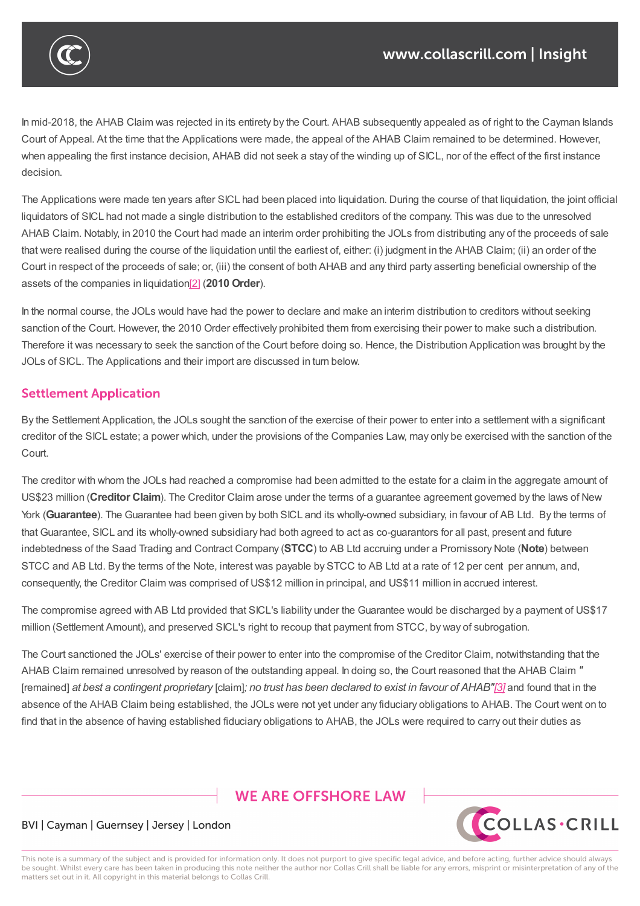

In mid-2018, the AHAB Claim was rejected in its entirety by the Court. AHAB subsequently appealed as of right to the Cayman Islands Court of Appeal. At the time that the Applications were made, the appeal of the AHAB Claim remained to be determined. However, when appealing the first instance decision, AHAB did not seek a stay of the winding up of SICL, nor of the effect of the first instance decision.

The Applications were made ten years after SICL had been placed into liquidation. During the course of that liquidation, the joint official liquidators of SICL had not made a single distribution to the established creditors of the company. This was due to the unresolved AHAB Claim. Notably, in 2010 the Court had made an interim order prohibiting the JOLs from distributing any of the proceeds of sale that were realised during the course of the liquidation until the earliest of, either: (i) judgment in the AHAB Claim; (ii) an order of the Court in respect of the proceeds of sale; or, (iii) the consent of both AHAB and any third party asserting beneficial ownership of the assets of the companies in liquidation[2] (**2010 Order**).

In the normal course, the JOLs would have had the power to declare and make an interim distribution to creditors without seeking sanction of the Court. However, the 2[010](https://www.collascrill.com/news-updates/articles/court-sanctions-distribution-of-funds-from-a-liquidation-estate-that-remains-subject-to-an-unresolved-proprietary-claim/?altTemplate=pdfDocument#_ftn2) Order effectively prohibited them from exercising their power to make such a distribution. Therefore it was necessary to seek the sanction of the Court before doing so. Hence, the Distribution Application was brought by the JOLs of SICL. The Applications and their import are discussed in turn below.

## **Settlement Application**

By the Settlement Application, the JOLs sought the sanction of the exercise of their power to enter into a settlement with a significant creditor of the SICL estate; a power which, under the provisions of the Companies Law, may only be exercised with the sanction of the Court.

The creditor with whom the JOLs had reached a compromise had been admitted to the estate for a claim in the aggregate amount of US\$23 million (**Creditor Claim**). The Creditor Claim arose under the terms of a guarantee agreement governed by the laws of New York (**Guarantee**). The Guarantee had been given by both SICL and its wholly-owned subsidiary, in favour of AB Ltd. By the terms of that Guarantee, SICL and its wholly-owned subsidiary had both agreed to act as co-guarantors for all past, present and future indebtedness of the Saad Trading and Contract Company (**STCC**) to AB Ltd accruing under a Promissory Note (**Note**) between STCC and AB Ltd. By the terms of the Note, interest was payable by STCC to AB Ltd at a rate of 12 per cent per annum, and, consequently, the Creditor Claim was comprised of US\$12 million in principal, and US\$11 million in accrued interest.

The compromise agreed with AB Ltd provided that SICL's liability under the Guarantee would be discharged by a payment of US\$17 million (Settlement Amount), and preserved SICL's right to recoup that payment from STCC, by way of subrogation.

The Court sanctioned the JOLs' exercise of their power to enter into the compromise of the Creditor Claim, notwithstanding that the AHAB Claim remained unresolved by reason of the outstanding appeal. In doing so, the Court reasoned that the AHAB Claim *"* [remained] at best a contingent proprietary [claim]; no trust has been declared to exist in favour of AHAB"[3] and found that in the absence of the AHAB Claim being established, the JOLs were not yet under any fiduciary obligations to AHAB. The Court went on to find that in the absence of having established fiduciary obligations to AHAB, the JOLs were required to carry out their duties as

# **WE ARE OFFSHORE LAW**



#### BVI | Cayman | Guernsey | Jersey | London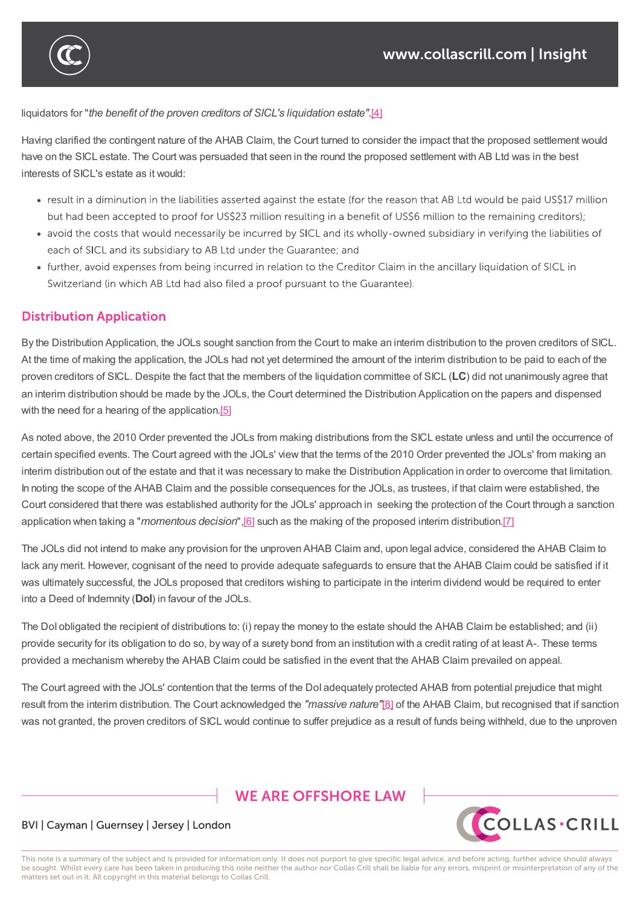

liquidators for "*the benefit of the proven creditors of SICL's liquidation estate".*[4]

Having clarified the contingent nature of the AHAB Claim, the Court turned to consider the impact that the proposed settlement would have on the SICL estate. The Court was persuaded that seen in the round the p[rop](https://www.collascrill.com/news-updates/articles/court-sanctions-distribution-of-funds-from-a-liquidation-estate-that-remains-subject-to-an-unresolved-proprietary-claim/?altTemplate=pdfDocument#_ftn4)osed settlement with AB Ltd was in the best interests of SICL's estate as it would:

find that in the absence of having established fiduciary obligations to AHAB, the JOLs were required to carry out their duties as

- result in a diminution in the liabilities asserted against the estate (for the reason that AB Ltd would be paid US\$17 million but had been accepted to proof for US\$23 million resulting in a benefit of US\$6 million to the remaining creditors);
- avoid the costs that would necessarily be incurred by SICL and its wholly-owned subsidiary in verifying the liabilities of each of SICL and its subsidiary to AB Ltd under the Guarantee; and
- further, avoid expenses from being incurred in relation to the Creditor Claim in the ancillary liguidation of SICL in Switzerland (in which AB Ltd had also filed a proof pursuant to the Guarantee).

## **Distribution Application**

By the Distribution Application, the JOLs sought sanction from the Court to make an interim distribution to the proven creditors of SICL. At the time of making the application, the JOLs had not yet determined the amount of the interim distribution to be paid to each of the proven creditors of SICL. Despite the fact that the members of the liquidation committee of SICL (**LC**) did not unanimously agree that an interim distribution should be made by the JOLs, the Court determined the Distribution Application on the papers and dispensed with the need for a hearing of the application.<sup>[5]</sup>

As noted above, the 2010 Order prevented the JOLs from making distributions from the SICL estate unless and until the occurrence of certain specified events. The Court agreed [with](https://www.collascrill.com/news-updates/articles/court-sanctions-distribution-of-funds-from-a-liquidation-estate-that-remains-subject-to-an-unresolved-proprietary-claim/?altTemplate=pdfDocument#_ftn5) the JOLs' view that the terms of the 2010 Order prevented the JOLs' from making an interim distribution out of the estate and that it was necessary to make the Distribution Application in order to overcome that limitation. In noting the scope of the AHAB Claim and the possible consequences for the JOLs, as trustees, if that claim were established, the Court considered that there was established authority for the JOLs' approach in seeking the protection of the Court through a sanction application when taking a "*momentous decision*",[6] such as the making of the proposed interim distribution.[7]

The JOLs did not intend to make any provision for the unproven AHAB Claim and, upon legal advice, considered the AHAB Claim to lack any merit. However, cognisant of the need to provide adequate safeguards to ensure that the AHAB Claim could be satisfied if it was ultimately successful, the JOLs proposed that [cre](https://www.collascrill.com/news-updates/articles/court-sanctions-distribution-of-funds-from-a-liquidation-estate-that-remains-subject-to-an-unresolved-proprietary-claim/?altTemplate=pdfDocument#_ftn6)ditors wishing to participate in the interim dividend wou[ld](https://www.collascrill.com/news-updates/articles/court-sanctions-distribution-of-funds-from-a-liquidation-estate-that-remains-subject-to-an-unresolved-proprietary-claim/?altTemplate=pdfDocument#_ftn7) be required to enter into a Deed of Indemnity (**DoI**) in favour of the JOLs.

The DoI obligated the recipient of distributions to: (i) repay the money to the estate should the AHAB Claim be established; and (ii) provide security for its obligation to do so, by way of a surety bond from an institution with a credit rating of at least A-. These terms provided a mechanism whereby the AHAB Claim could be satisfied in the event that the AHAB Claim prevailed on appeal.

The Court agreed with the JOLs' contention that the terms of the DoI adequately protected AHAB from potential prejudice that might result from the interim distribution. The Court acknowledged the *"massive nature"*[8] of the AHAB Claim, but recognised that if sanction was not granted, the proven creditors of SICL would continue to suffer prejudice as a result of funds being withheld, due to the unproven

## **WE ARE OFFSHORE LAW**



#### BVI | Cayman | Guernsey | Jersey | London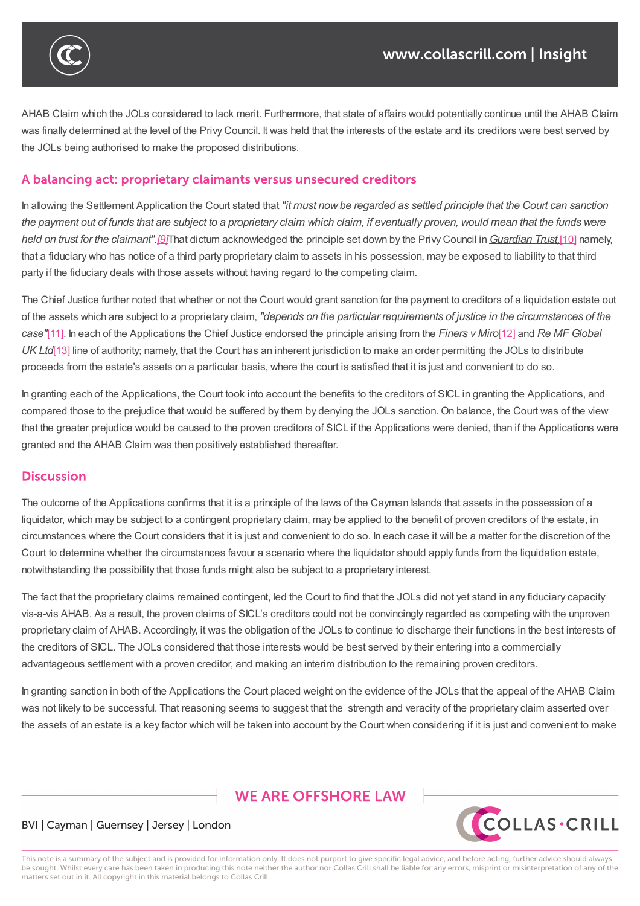

AHAB Claim which the JOLs considered to lack merit. Furthermore, that state of affairs would potentially continue until the AHAB Claim was finally determined at the level of the Privy Council. It was held that the interests of the estate and its creditors were best served by the JOLs being authorised to make the proposed distributions.

was not granted, the proven continue to suffer prejudice as a result of funds being withheld, due to the unprove

#### A balancing act: proprietary claimants versus unsecured creditors

In allowing the Settlement Application the Court stated that *"it must nowbe regarded as settled principle that the Court can sanction* the payment out of funds that are subject to a proprietary claim which claim, if eventually proven, would mean that the funds were *held on trust for the claimant".[9]*That dictum acknowledged the principle set down by the Privy Council in*Guardian Trust,*[10] namely, that a fiduciary who has notice of a third party proprietary claim to assets in his possession, may be exposed to liability to that third party if the fiduciary deals with those assets without having regard to the competing claim.

The Chief Justice further noted [tha](https://www.collascrill.com/news-updates/articles/court-sanctions-distribution-of-funds-from-a-liquidation-estate-that-remains-subject-to-an-unresolved-proprietary-claim/?altTemplate=pdfDocument#_ftn9)t whether or not the Court would grant sanction for the payment to creditors of a liquidati[on](https://www.collascrill.com/news-updates/articles/court-sanctions-distribution-of-funds-from-a-liquidation-estate-that-remains-subject-to-an-unresolved-proprietary-claim/?altTemplate=pdfDocument#_ftn10) estate out of the assets which are subject to a proprietary claim, *"depends on the particular requirements of justice in the circumstances of the case"*[11]. In each of the Applications the Chief Justice endorsed the principle arising from the *Finers v Miro*[12] and *Re MF Global UK Ltd*[13] line of authority; namely, that the Court has an inherent jurisdiction to make an order permitting the JOLs to distribute proceeds from the estate's assets on a particular basis, where the court is satisfied that it is just and convenient to do so.

In gra[nting](https://www.collascrill.com/news-updates/articles/court-sanctions-distribution-of-funds-from-a-liquidation-estate-that-remains-subject-to-an-unresolved-proprietary-claim/?altTemplate=pdfDocument#_ftn11) each of the Applications, the Court took into account the benefits to the creditors of SICL in granti[ng](https://www.collascrill.com/news-updates/articles/court-sanctions-distribution-of-funds-from-a-liquidation-estate-that-remains-subject-to-an-unresolved-proprietary-claim/?altTemplate=pdfDocument#_ftn12) the Applications, and compa[red](https://www.collascrill.com/news-updates/articles/court-sanctions-distribution-of-funds-from-a-liquidation-estate-that-remains-subject-to-an-unresolved-proprietary-claim/?altTemplate=pdfDocument#_ftn13) those to the prejudice that would be suffered by them by denying the JOLs sanction. On balance, the Court was of the view that the greater prejudice would be caused to the proven creditors of SICL if the Applications were denied, than if the Applications were granted and the AHAB Claim was then positively established thereafter.

### **Discussion**

The outcome of the Applications confirms that it is a principle of the laws of the Cayman Islands that assets in the possession of a liquidator, which may be subject to a contingent proprietary claim, may be applied to the benefit of proven creditors of the estate, in circumstances where the Court considers that it is just and convenient to do so. In each case it will be a matter for the discretion of the Court to determine whether the circumstances favour a scenario where the liquidator should apply funds from the liquidation estate, notwithstanding the possibility that those funds might also be subject to a proprietary interest.

The fact that the proprietary claims remained contingent, led the Court to find that the JOLs did not yet stand in any fiduciary capacity vis-a-vis AHAB. As a result, the proven claims of SICL's creditors could not be convincingly regarded as competing with the unproven proprietary claim of AHAB. Accordingly, it was the obligation of the JOLs to continue to discharge their functions in the best interests of the creditors of SICL. The JOLs considered that those interests would be best served by their entering into a commercially advantageous settlement with a proven creditor, and making an interim distribution to the remaining proven creditors.

In granting sanction in both of the Applications the Court placed weight on the evidence of the JOLs that the appeal of the AHAB Claim was not likely to be successful. That reasoning seems to suggest that the strength and veracity of the proprietary claim asserted over the assets of an estate is a key factor which will be taken into account by the Court when considering if it is just and convenient to make

# **WE ARE OFFSHORE LAW**



#### BVI | Cayman | Guernsey | Jersey | London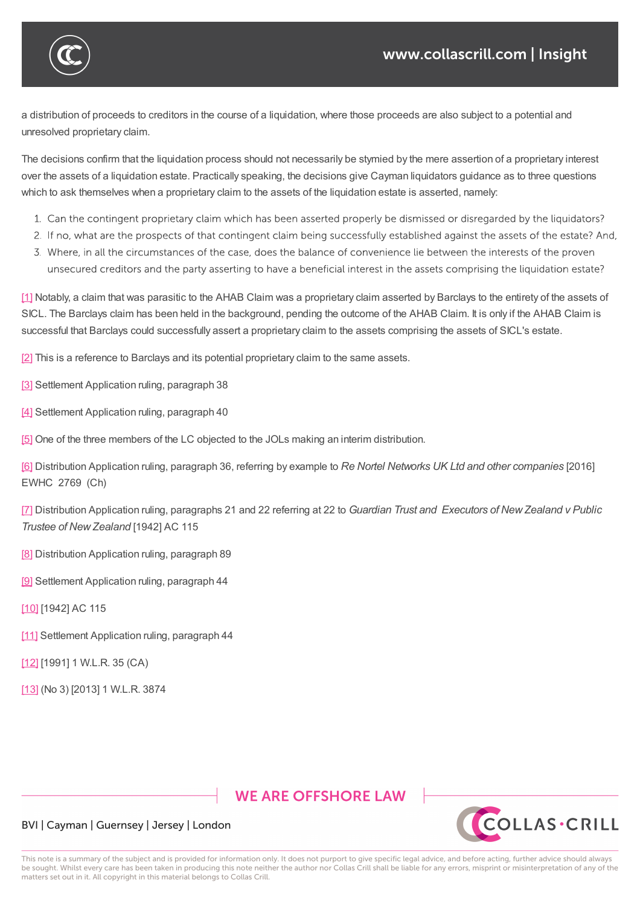

a distribution of proceeds to creditors in the course of a liquidation, where those proceeds are also subject to a potential and unresolved proprietary claim.

The decisions confirm that the liquidation process should not necessarily be stymied by the mere assertion of a proprietary interest over the assets of a liquidation estate. Practically speaking, the decisions give Cayman liquidators guidance as to three questions which to ask themselves when a proprietary claim to the assets of the liquidation estate is asserted, namely:

- 1. Can the contingent proprietary claim which has been asserted properly be dismissed or disregarded by the liquidators?
- 2. If no, what are the prospects of that contingent claim being successfully established against the assets of the estate? And,
- 3. Where, in all the circumstances of the case, does the balance of convenience lie between the interests of the proven unsecured creditors and the party asserting to have a beneficial interest in the assets comprising the liquidation estate?

[1] Notably, a claim that was parasitic to the AHAB Claim was a proprietary claim asserted by Barclays to the entirety of the assets of SICL. The Barclays claim has been held in the background, pending the outcome of the AHAB Claim. It is only if the AHAB Claim is successful that Barclays could successfully assert a proprietary claim to the assets comprising the assets of SICL's estate.

[\[2\]](https://www.collascrill.com/news-updates/articles/court-sanctions-distribution-of-funds-from-a-liquidation-estate-that-remains-subject-to-an-unresolved-proprietary-claim/?altTemplate=pdfDocument#_ftnref1) This is a reference to Barclays and its potential proprietary claim to the same assets.

- [3] Settlement Application ruling, paragraph 38
- [\[4\]](https://www.collascrill.com/news-updates/articles/court-sanctions-distribution-of-funds-from-a-liquidation-estate-that-remains-subject-to-an-unresolved-proprietary-claim/?altTemplate=pdfDocument#_ftnref2) Settlement Application ruling, paragraph 40

[\[5\]](https://www.collascrill.com/news-updates/articles/court-sanctions-distribution-of-funds-from-a-liquidation-estate-that-remains-subject-to-an-unresolved-proprietary-claim/?altTemplate=pdfDocument#_ftnref3) One of the three members of the LC objected to the JOLs making an interim distribution.

[\[6\]](https://www.collascrill.com/news-updates/articles/court-sanctions-distribution-of-funds-from-a-liquidation-estate-that-remains-subject-to-an-unresolved-proprietary-claim/?altTemplate=pdfDocument#_ftnref4) Distribution Application ruling, paragraph 36, referring by example to *Re Nortel Networks UK Ltd and other companies* [2016] [EW](https://www.collascrill.com/news-updates/articles/court-sanctions-distribution-of-funds-from-a-liquidation-estate-that-remains-subject-to-an-unresolved-proprietary-claim/?altTemplate=pdfDocument#_ftnref5)HC 2769 (Ch)

[7] Distribution Application ruling, paragraphs 21 and 22 referring at 22 to *Guardian Trust and Executors of NewZealand v Public [Tru](https://www.collascrill.com/news-updates/articles/court-sanctions-distribution-of-funds-from-a-liquidation-estate-that-remains-subject-to-an-unresolved-proprietary-claim/?altTemplate=pdfDocument#_ftnref6)stee of NewZealand* [1942] AC 115

[\[8\]](https://www.collascrill.com/news-updates/articles/court-sanctions-distribution-of-funds-from-a-liquidation-estate-that-remains-subject-to-an-unresolved-proprietary-claim/?altTemplate=pdfDocument#_ftnref7) Distribution Application ruling, paragraph 89

- [9] Settlement Application ruling, paragraph 44
- [\[10](https://www.collascrill.com/news-updates/articles/court-sanctions-distribution-of-funds-from-a-liquidation-estate-that-remains-subject-to-an-unresolved-proprietary-claim/?altTemplate=pdfDocument#_ftnref8)] [1942] AC 115
- [\[11](https://www.collascrill.com/news-updates/articles/court-sanctions-distribution-of-funds-from-a-liquidation-estate-that-remains-subject-to-an-unresolved-proprietary-claim/?altTemplate=pdfDocument#_ftnref9)] Settlement Application ruling, paragraph 44
- [\[12\]](https://www.collascrill.com/news-updates/articles/court-sanctions-distribution-of-funds-from-a-liquidation-estate-that-remains-subject-to-an-unresolved-proprietary-claim/?altTemplate=pdfDocument#_ftnref10) [1991] 1 W.L.R. 35 (CA)
- [\[13\]](https://www.collascrill.com/news-updates/articles/court-sanctions-distribution-of-funds-from-a-liquidation-estate-that-remains-subject-to-an-unresolved-proprietary-claim/?altTemplate=pdfDocument#_ftnref11) (No 3) [2013] 1 W.L.R. 3874

## **WE ARE OFFSHORE LAW**



#### BVI | Cayman | Guernsey | Jersey | London